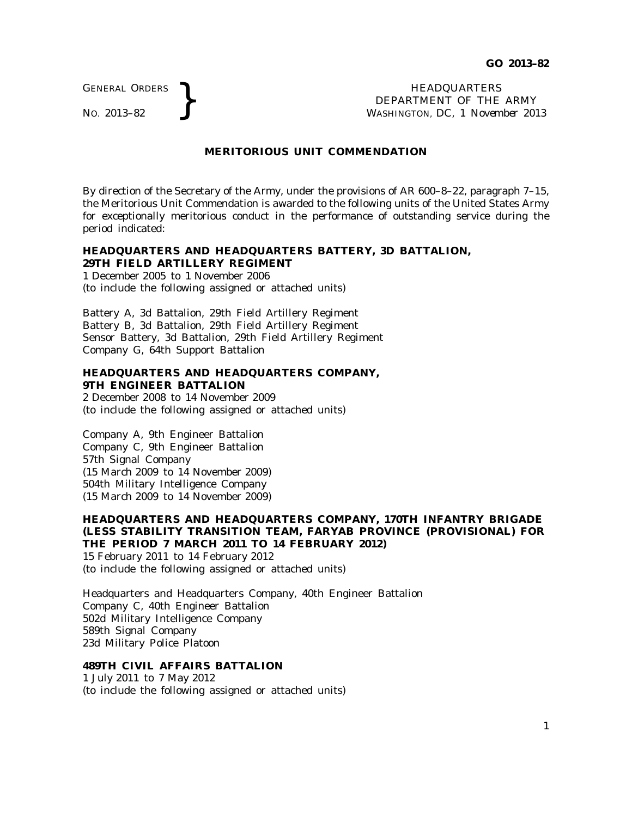GENERAL ORDERS

GENERAL ORDERS **REAL ORDERS REAL ORDERS REAL ORDERS REAL ORDERS REAL ORDERS REAL ORDERS REAL ORDER INCONSTRUENT** OF THE **WASHINGTON, DC,** *I Novem* DEPARTMENT OF THE ARMY WASHINGTON, DC, *1 November 2013*

## **MERITORIOUS UNIT COMMENDATION**

By direction of the Secretary of the Army, under the provisions of AR 600–8–22, paragraph 7–15, the Meritorious Unit Commendation is awarded to the following units of the United States Army for exceptionally meritorious conduct in the performance of outstanding service during the period indicated:

#### **HEADQUARTERS AND HEADQUARTERS BATTERY, 3D BATTALION, 29TH FIELD ARTILLERY REGIMENT**

1 December 2005 to 1 November 2006 (to include the following assigned or attached units)

Battery A, 3d Battalion, 29th Field Artillery Regiment Battery B, 3d Battalion, 29th Field Artillery Regiment Sensor Battery, 3d Battalion, 29th Field Artillery Regiment Company G, 64th Support Battalion

## **HEADQUARTERS AND HEADQUARTERS COMPANY, 9TH ENGINEER BATTALION**

2 December 2008 to 14 November 2009 (to include the following assigned or attached units)

Company A, 9th Engineer Battalion Company C, 9th Engineer Battalion 57th Signal Company (15 March 2009 to 14 November 2009) 504th Military Intelligence Company (15 March 2009 to 14 November 2009)

#### **HEADQUARTERS AND HEADQUARTERS COMPANY, 170TH INFANTRY BRIGADE (LESS STABILITY TRANSITION TEAM, FARYAB PROVINCE (PROVISIONAL) FOR THE PERIOD 7 MARCH 2011 TO 14 FEBRUARY 2012)** 15 February 2011 to 14 February 2012

(to include the following assigned or attached units)

Headquarters and Headquarters Company, 40th Engineer Battalion Company C, 40th Engineer Battalion 502d Military Intelligence Company 589th Signal Company 23d Military Police Platoon

# **489TH CIVIL AFFAIRS BATTALION**

1 July 2011 to 7 May 2012 (to include the following assigned or attached units)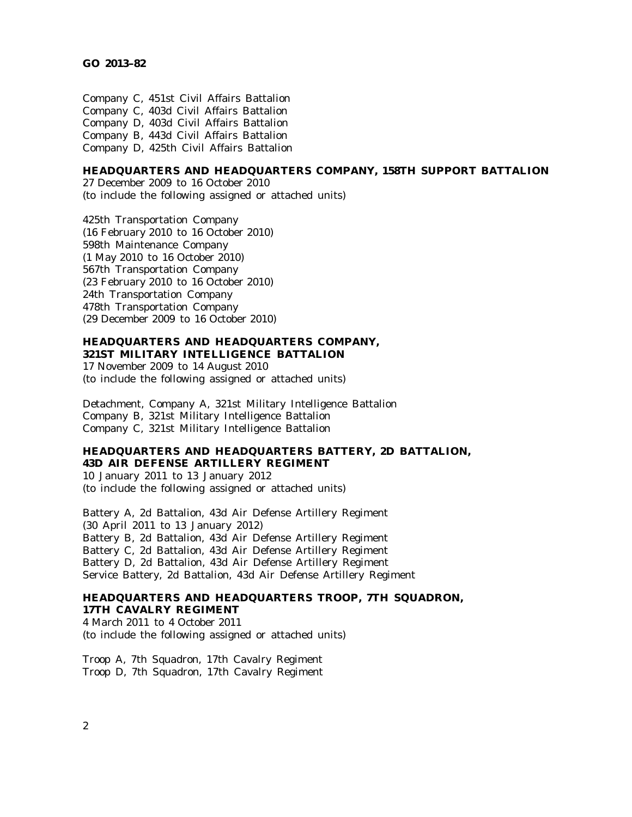Company C, 451st Civil Affairs Battalion Company C, 403d Civil Affairs Battalion Company D, 403d Civil Affairs Battalion Company B, 443d Civil Affairs Battalion Company D, 425th Civil Affairs Battalion

## **HEADQUARTERS AND HEADQUARTERS COMPANY, 158TH SUPPORT BATTALION**

27 December 2009 to 16 October 2010 (to include the following assigned or attached units)

425th Transportation Company (16 February 2010 to 16 October 2010) 598th Maintenance Company (1 May 2010 to 16 October 2010) 567th Transportation Company (23 February 2010 to 16 October 2010) 24th Transportation Company 478th Transportation Company (29 December 2009 to 16 October 2010)

#### **HEADQUARTERS AND HEADQUARTERS COMPANY, 321ST MILITARY INTELLIGENCE BATTALION**

17 November 2009 to 14 August 2010 (to include the following assigned or attached units)

Detachment, Company A, 321st Military Intelligence Battalion Company B, 321st Military Intelligence Battalion Company C, 321st Military Intelligence Battalion

## **HEADQUARTERS AND HEADQUARTERS BATTERY, 2D BATTALION, 43D AIR DEFENSE ARTILLERY REGIMENT**

10 January 2011 to 13 January 2012 (to include the following assigned or attached units)

Battery A, 2d Battalion, 43d Air Defense Artillery Regiment (30 April 2011 to 13 January 2012) Battery B, 2d Battalion, 43d Air Defense Artillery Regiment Battery C, 2d Battalion, 43d Air Defense Artillery Regiment Battery D, 2d Battalion, 43d Air Defense Artillery Regiment Service Battery, 2d Battalion, 43d Air Defense Artillery Regiment

## **HEADQUARTERS AND HEADQUARTERS TROOP, 7TH SQUADRON, 17TH CAVALRY REGIMENT**

4 March 2011 to 4 October 2011 (to include the following assigned or attached units)

Troop A, 7th Squadron, 17th Cavalry Regiment Troop D, 7th Squadron, 17th Cavalry Regiment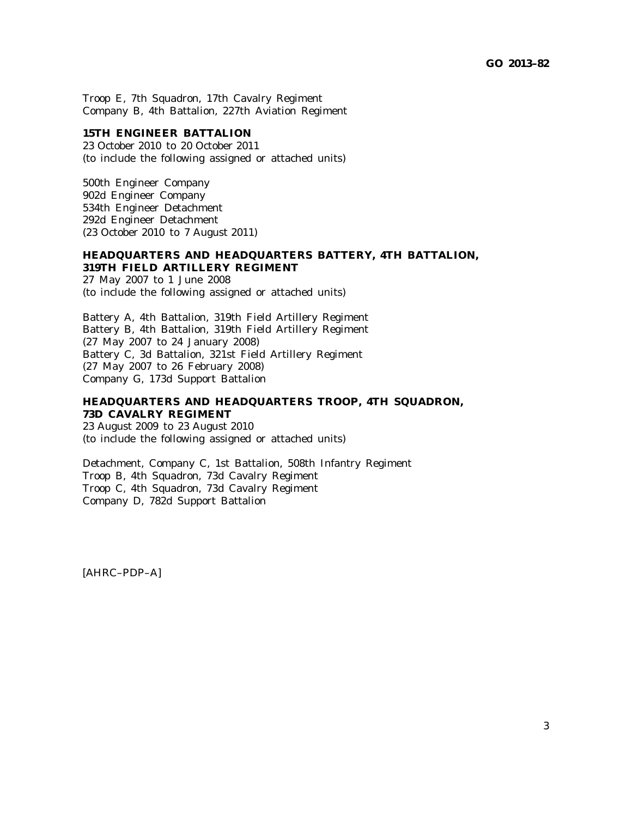Troop E, 7th Squadron, 17th Cavalry Regiment Company B, 4th Battalion, 227th Aviation Regiment

#### **15TH ENGINEER BATTALION**

23 October 2010 to 20 October 2011 (to include the following assigned or attached units)

500th Engineer Company 902d Engineer Company 534th Engineer Detachment 292d Engineer Detachment (23 October 2010 to 7 August 2011)

## **HEADQUARTERS AND HEADQUARTERS BATTERY, 4TH BATTALION, 319TH FIELD ARTILLERY REGIMENT**

27 May 2007 to 1 June 2008 (to include the following assigned or attached units)

Battery A, 4th Battalion, 319th Field Artillery Regiment Battery B, 4th Battalion, 319th Field Artillery Regiment (27 May 2007 to 24 January 2008) Battery C, 3d Battalion, 321st Field Artillery Regiment (27 May 2007 to 26 February 2008) Company G, 173d Support Battalion

#### **HEADQUARTERS AND HEADQUARTERS TROOP, 4TH SQUADRON, 73D CAVALRY REGIMENT**

23 August 2009 to 23 August 2010 (to include the following assigned or attached units)

Detachment, Company C, 1st Battalion, 508th Infantry Regiment Troop B, 4th Squadron, 73d Cavalry Regiment Troop C, 4th Squadron, 73d Cavalry Regiment Company D, 782d Support Battalion

[AHRC–PDP–A]